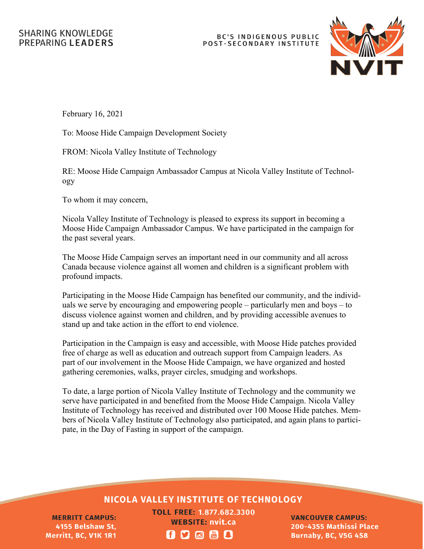## **BC'S INDIGENOUS PUBLIC** POST-SECONDARY INSTITUTE



February 16, 2021

To: Moose Hide Campaign Development Society

FROM: Nicola Valley Institute of Technology

RE: Moose Hide Campaign Ambassador Campus at Nicola Valley Institute of Technology

To whom it may concern,

Nicola Valley Institute of Technology is pleased to express its support in becoming a Moose Hide Campaign Ambassador Campus. We have participated in the campaign for the past several years.

The Moose Hide Campaign serves an important need in our community and all across Canada because violence against all women and children is a significant problem with profound impacts.

Participating in the Moose Hide Campaign has benefited our community, and the individuals we serve by encouraging and empowering people – particularly men and boys – to discuss violence against women and children, and by providing accessible avenues to stand up and take action in the effort to end violence.

Participation in the Campaign is easy and accessible, with Moose Hide patches provided free of charge as well as education and outreach support from Campaign leaders. As part of our involvement in the Moose Hide Campaign, we have organized and hosted gathering ceremonies, walks, prayer circles, smudging and workshops.

To date, a large portion of Nicola Valley Institute of Technology and the community we serve have participated in and benefited from the Moose Hide Campaign. Nicola Valley Institute of Technology has received and distributed over 100 Moose Hide patches. Members of Nicola Valley Institute of Technology also participated, and again plans to participate, in the Day of Fasting in support of the campaign.

## **NICOLA VALLEY INSTITUTE OF TECHNOLOGY**

**MERRITT CAMPUS:** 4155 Belshaw St, Merritt, BC, V1K 1R1

**TOLL FREE: 1.877.682.3300 WEBSITE: nvit.ca ADOM!** 

**VANCOUVER CAMPUS:** 200-4355 Mathissi Place **Burnaby, BC, V5G 4S8**